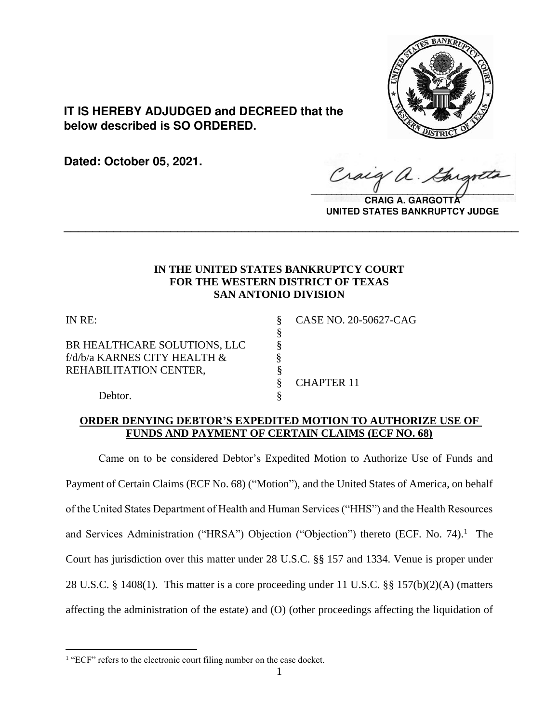

**IT IS HEREBY ADJUDGED and DECREED that the below described is SO ORDERED.**

**Dated: October 05, 2021.**

Craig  $\sqrt{2}$ 

**CRAIG A. GARGOTTA UNITED STATES BANKRUPTCY JUDGE**

# **IN THE UNITED STATES BANKRUPTCY COURT FOR THE WESTERN DISTRICT OF TEXAS SAN ANTONIO DIVISION**

**\_\_\_\_\_\_\_\_\_\_\_\_\_\_\_\_\_\_\_\_\_\_\_\_\_\_\_\_\_\_\_\_\_\_\_\_\_\_\_\_\_\_\_\_\_\_\_\_\_\_\_\_\_\_\_\_\_\_\_\_\_\_\_\_**

§

BR HEALTHCARE SOLUTIONS, LLC  $\S$ f/d/b/a KARNES CITY HEALTH &  $\S$ REHABILITATION CENTER,  $\S$ 

IN RE: § CASE NO. 20-50627-CAG

§ CHAPTER 11

Debtor.

# **ORDER DENYING DEBTOR'S EXPEDITED MOTION TO AUTHORIZE USE OF FUNDS AND PAYMENT OF CERTAIN CLAIMS (ECF NO. 68)**

Came on to be considered Debtor's Expedited Motion to Authorize Use of Funds and Payment of Certain Claims (ECF No. 68) ("Motion"), and the United States of America, on behalf of the United States Department of Health and Human Services ("HHS") and the Health Resources and Services Administration ("HRSA") Objection ("Objection") thereto (ECF. No. 74).<sup>1</sup> The Court has jurisdiction over this matter under 28 U.S.C. §§ 157 and 1334. Venue is proper under 28 U.S.C. § 1408(1). This matter is a core proceeding under 11 U.S.C. §§ 157(b)(2)(A) (matters affecting the administration of the estate) and (O) (other proceedings affecting the liquidation of

<sup>&</sup>lt;sup>1</sup> "ECF" refers to the electronic court filing number on the case docket.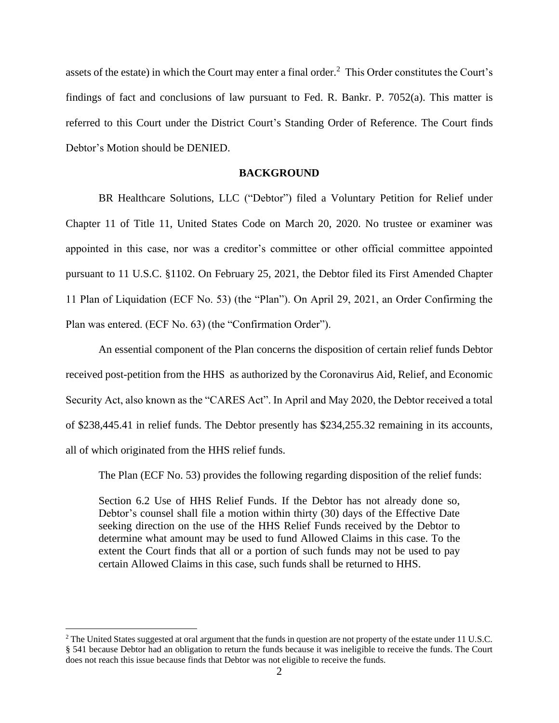assets of the estate) in which the Court may enter a final order.<sup>2</sup> This Order constitutes the Court's findings of fact and conclusions of law pursuant to Fed. R. Bankr. P. 7052(a). This matter is referred to this Court under the District Court's Standing Order of Reference. The Court finds Debtor's Motion should be DENIED.

## **BACKGROUND**

BR Healthcare Solutions, LLC ("Debtor") filed a Voluntary Petition for Relief under Chapter 11 of Title 11, United States Code on March 20, 2020. No trustee or examiner was appointed in this case, nor was a creditor's committee or other official committee appointed pursuant to 11 U.S.C. §1102. On February 25, 2021, the Debtor filed its First Amended Chapter 11 Plan of Liquidation (ECF No. 53) (the "Plan"). On April 29, 2021, an Order Confirming the Plan was entered. (ECF No. 63) (the "Confirmation Order").

An essential component of the Plan concerns the disposition of certain relief funds Debtor received post-petition from the HHS as authorized by the Coronavirus Aid, Relief, and Economic Security Act, also known as the "CARES Act". In April and May 2020, the Debtor received a total of \$238,445.41 in relief funds. The Debtor presently has \$234,255.32 remaining in its accounts, all of which originated from the HHS relief funds.

The Plan (ECF No. 53) provides the following regarding disposition of the relief funds:

Section 6.2 Use of HHS Relief Funds. If the Debtor has not already done so, Debtor's counsel shall file a motion within thirty (30) days of the Effective Date seeking direction on the use of the HHS Relief Funds received by the Debtor to determine what amount may be used to fund Allowed Claims in this case. To the extent the Court finds that all or a portion of such funds may not be used to pay certain Allowed Claims in this case, such funds shall be returned to HHS.

<sup>&</sup>lt;sup>2</sup> The United States suggested at oral argument that the funds in question are not property of the estate under 11 U.S.C. § 541 because Debtor had an obligation to return the funds because it was ineligible to receive the funds. The Court does not reach this issue because finds that Debtor was not eligible to receive the funds.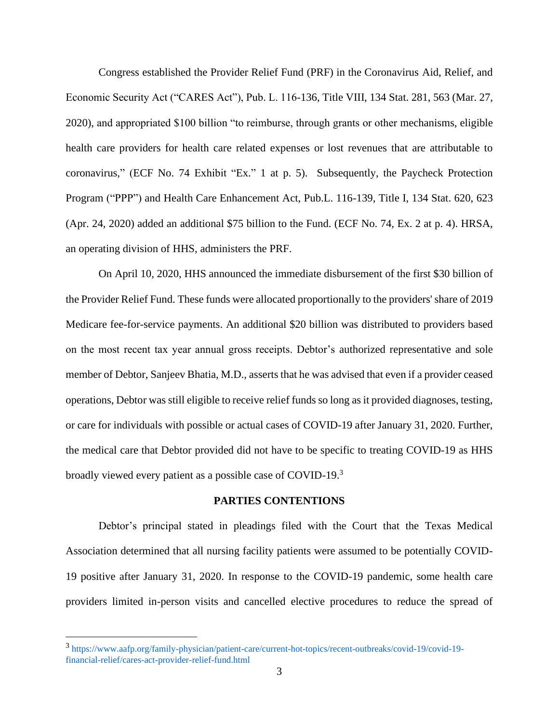Congress established the Provider Relief Fund (PRF) in the Coronavirus Aid, Relief, and Economic Security Act ("CARES Act"), Pub. L. 116-136, Title VIII, 134 Stat. 281, 563 (Mar. 27, 2020), and appropriated \$100 billion "to reimburse, through grants or other mechanisms, eligible health care providers for health care related expenses or lost revenues that are attributable to coronavirus," (ECF No. 74 Exhibit "Ex." 1 at p. 5). Subsequently, the Paycheck Protection Program ("PPP") and Health Care Enhancement Act, Pub.L. 116-139, Title I, 134 Stat. 620, 623 (Apr. 24, 2020) added an additional \$75 billion to the Fund. (ECF No. 74, Ex. 2 at p. 4). HRSA, an operating division of HHS, administers the PRF.

On April 10, 2020, HHS announced the immediate disbursement of the first \$30 billion of the Provider Relief Fund. These funds were allocated proportionally to the providers' share of 2019 Medicare fee-for-service payments. An additional \$20 billion was distributed to providers based on the most recent tax year annual gross receipts. Debtor's authorized representative and sole member of Debtor, Sanjeev Bhatia, M.D., asserts that he was advised that even if a provider ceased operations, Debtor was still eligible to receive relief funds so long as it provided diagnoses, testing, or care for individuals with possible or actual cases of COVID-19 after January 31, 2020. Further, the medical care that Debtor provided did not have to be specific to treating COVID-19 as HHS broadly viewed every patient as a possible case of COVID-19.<sup>3</sup>

#### **PARTIES CONTENTIONS**

Debtor's principal stated in pleadings filed with the Court that the Texas Medical Association determined that all nursing facility patients were assumed to be potentially COVID-19 positive after January 31, 2020. In response to the COVID-19 pandemic, some health care providers limited in-person visits and cancelled elective procedures to reduce the spread of

<sup>3</sup> https://www.aafp.org/family-physician/patient-care/current-hot-topics/recent-outbreaks/covid-19/covid-19 financial-relief/cares-act-provider-relief-fund.html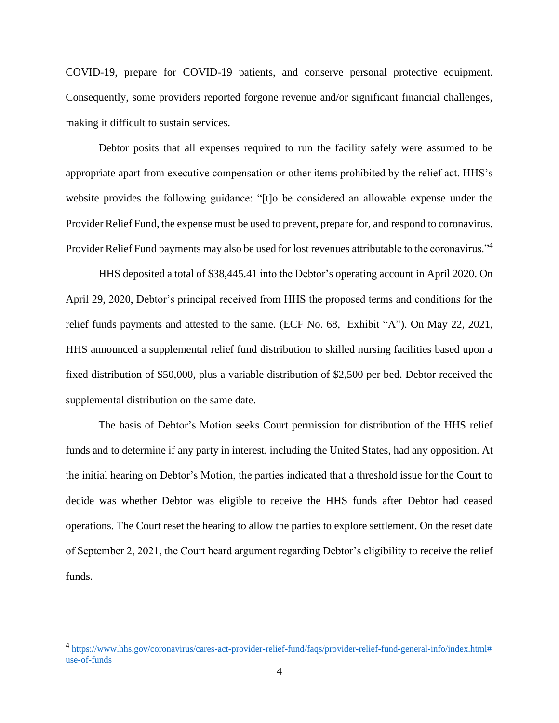COVID-19, prepare for COVID-19 patients, and conserve personal protective equipment. Consequently, some providers reported forgone revenue and/or significant financial challenges, making it difficult to sustain services.

Debtor posits that all expenses required to run the facility safely were assumed to be appropriate apart from executive compensation or other items prohibited by the relief act. HHS's website provides the following guidance: "[t]o be considered an allowable expense under the Provider Relief Fund, the expense must be used to prevent, prepare for, and respond to coronavirus. Provider Relief Fund payments may also be used for lost revenues attributable to the coronavirus."<sup>4</sup>

HHS deposited a total of \$38,445.41 into the Debtor's operating account in April 2020. On April 29, 2020, Debtor's principal received from HHS the proposed terms and conditions for the relief funds payments and attested to the same. (ECF No. 68, Exhibit "A"). On May 22, 2021, HHS announced a supplemental relief fund distribution to skilled nursing facilities based upon a fixed distribution of \$50,000, plus a variable distribution of \$2,500 per bed. Debtor received the supplemental distribution on the same date.

The basis of Debtor's Motion seeks Court permission for distribution of the HHS relief funds and to determine if any party in interest, including the United States, had any opposition. At the initial hearing on Debtor's Motion, the parties indicated that a threshold issue for the Court to decide was whether Debtor was eligible to receive the HHS funds after Debtor had ceased operations. The Court reset the hearing to allow the parties to explore settlement. On the reset date of September 2, 2021, the Court heard argument regarding Debtor's eligibility to receive the relief funds.

<sup>4</sup> https://www.hhs.gov/coronavirus/cares-act-provider-relief-fund/faqs/provider-relief-fund-general-info/index.html# use-of-funds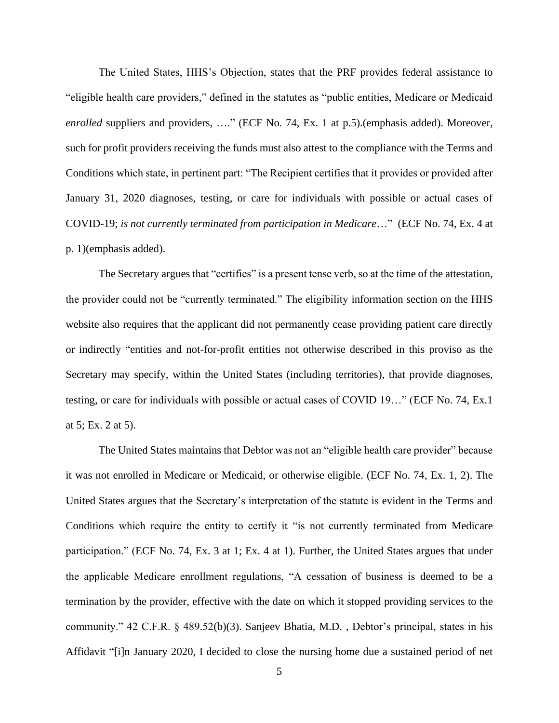The United States, HHS's Objection, states that the PRF provides federal assistance to "eligible health care providers," defined in the statutes as "public entities, Medicare or Medicaid *enrolled* suppliers and providers, …." (ECF No. 74, Ex. 1 at p.5).(emphasis added). Moreover, such for profit providers receiving the funds must also attest to the compliance with the Terms and Conditions which state, in pertinent part: "The Recipient certifies that it provides or provided after January 31, 2020 diagnoses, testing, or care for individuals with possible or actual cases of COVID-19; *is not currently terminated from participation in Medicare*…" (ECF No. 74, Ex. 4 at p. 1)(emphasis added).

The Secretary argues that "certifies" is a present tense verb, so at the time of the attestation, the provider could not be "currently terminated." The eligibility information section on the HHS website also requires that the applicant did not permanently cease providing patient care directly or indirectly "entities and not-for-profit entities not otherwise described in this proviso as the Secretary may specify, within the United States (including territories), that provide diagnoses, testing, or care for individuals with possible or actual cases of COVID 19…" (ECF No. 74, Ex.1 at 5; Ex. 2 at 5).

The United States maintains that Debtor was not an "eligible health care provider" because it was not enrolled in Medicare or Medicaid, or otherwise eligible. (ECF No. 74, Ex. 1, 2). The United States argues that the Secretary's interpretation of the statute is evident in the Terms and Conditions which require the entity to certify it "is not currently terminated from Medicare participation." (ECF No. 74, Ex. 3 at 1; Ex. 4 at 1). Further, the United States argues that under the applicable Medicare enrollment regulations, "A cessation of business is deemed to be a termination by the provider, effective with the date on which it stopped providing services to the community." 42 C.F.R. § 489.52(b)(3). Sanjeev Bhatia, M.D. , Debtor's principal, states in his Affidavit "[i]n January 2020, I decided to close the nursing home due a sustained period of net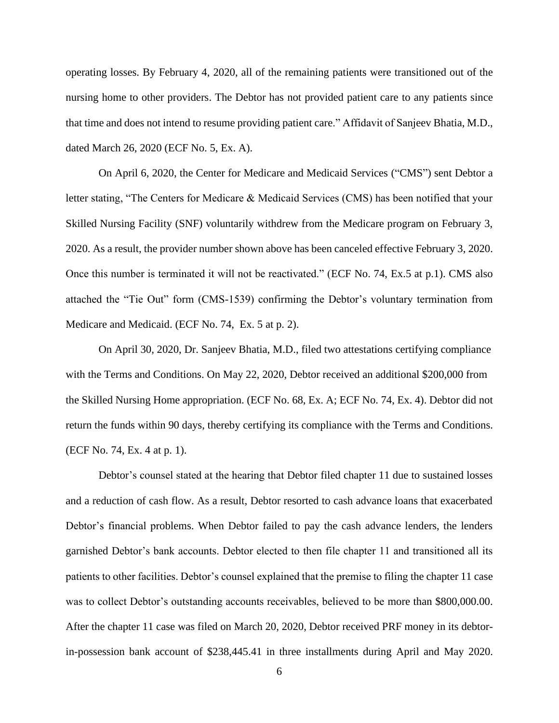operating losses. By February 4, 2020, all of the remaining patients were transitioned out of the nursing home to other providers. The Debtor has not provided patient care to any patients since that time and does not intend to resume providing patient care." Affidavit of Sanjeev Bhatia, M.D., dated March 26, 2020 (ECF No. 5, Ex. A).

On April 6, 2020, the Center for Medicare and Medicaid Services ("CMS") sent Debtor a letter stating, "The Centers for Medicare & Medicaid Services (CMS) has been notified that your Skilled Nursing Facility (SNF) voluntarily withdrew from the Medicare program on February 3, 2020. As a result, the provider number shown above has been canceled effective February 3, 2020. Once this number is terminated it will not be reactivated." (ECF No. 74, Ex.5 at p.1). CMS also attached the "Tie Out" form (CMS-1539) confirming the Debtor's voluntary termination from Medicare and Medicaid. (ECF No. 74, Ex. 5 at p. 2).

On April 30, 2020, Dr. Sanjeev Bhatia, M.D., filed two attestations certifying compliance with the Terms and Conditions. On May 22, 2020, Debtor received an additional \$200,000 from the Skilled Nursing Home appropriation. (ECF No. 68, Ex. A; ECF No. 74, Ex. 4). Debtor did not return the funds within 90 days, thereby certifying its compliance with the Terms and Conditions. (ECF No. 74, Ex. 4 at p. 1).

Debtor's counsel stated at the hearing that Debtor filed chapter 11 due to sustained losses and a reduction of cash flow. As a result, Debtor resorted to cash advance loans that exacerbated Debtor's financial problems. When Debtor failed to pay the cash advance lenders, the lenders garnished Debtor's bank accounts. Debtor elected to then file chapter 11 and transitioned all its patients to other facilities. Debtor's counsel explained that the premise to filing the chapter 11 case was to collect Debtor's outstanding accounts receivables, believed to be more than \$800,000.00. After the chapter 11 case was filed on March 20, 2020, Debtor received PRF money in its debtorin-possession bank account of \$238,445.41 in three installments during April and May 2020.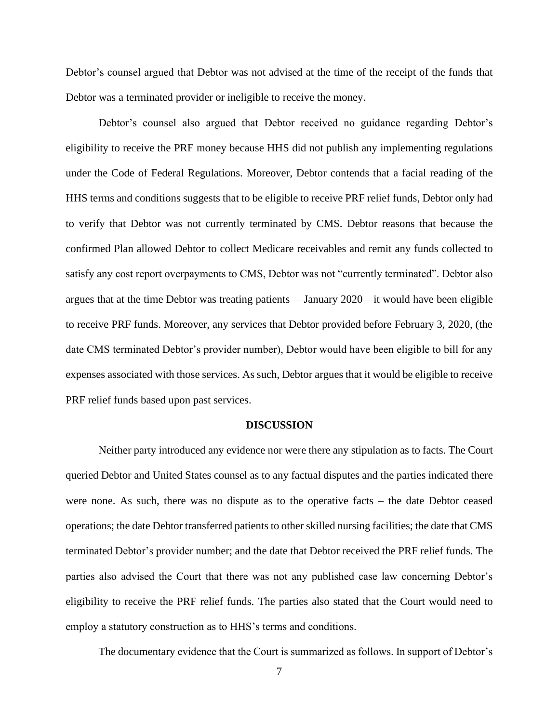Debtor's counsel argued that Debtor was not advised at the time of the receipt of the funds that Debtor was a terminated provider or ineligible to receive the money.

Debtor's counsel also argued that Debtor received no guidance regarding Debtor's eligibility to receive the PRF money because HHS did not publish any implementing regulations under the Code of Federal Regulations. Moreover, Debtor contends that a facial reading of the HHS terms and conditions suggests that to be eligible to receive PRF relief funds, Debtor only had to verify that Debtor was not currently terminated by CMS. Debtor reasons that because the confirmed Plan allowed Debtor to collect Medicare receivables and remit any funds collected to satisfy any cost report overpayments to CMS, Debtor was not "currently terminated". Debtor also argues that at the time Debtor was treating patients —January 2020—it would have been eligible to receive PRF funds. Moreover, any services that Debtor provided before February 3, 2020, (the date CMS terminated Debtor's provider number), Debtor would have been eligible to bill for any expenses associated with those services. As such, Debtor argues that it would be eligible to receive PRF relief funds based upon past services.

#### **DISCUSSION**

Neither party introduced any evidence nor were there any stipulation as to facts. The Court queried Debtor and United States counsel as to any factual disputes and the parties indicated there were none. As such, there was no dispute as to the operative facts – the date Debtor ceased operations; the date Debtor transferred patients to other skilled nursing facilities; the date that CMS terminated Debtor's provider number; and the date that Debtor received the PRF relief funds. The parties also advised the Court that there was not any published case law concerning Debtor's eligibility to receive the PRF relief funds. The parties also stated that the Court would need to employ a statutory construction as to HHS's terms and conditions.

The documentary evidence that the Court is summarized as follows. In support of Debtor's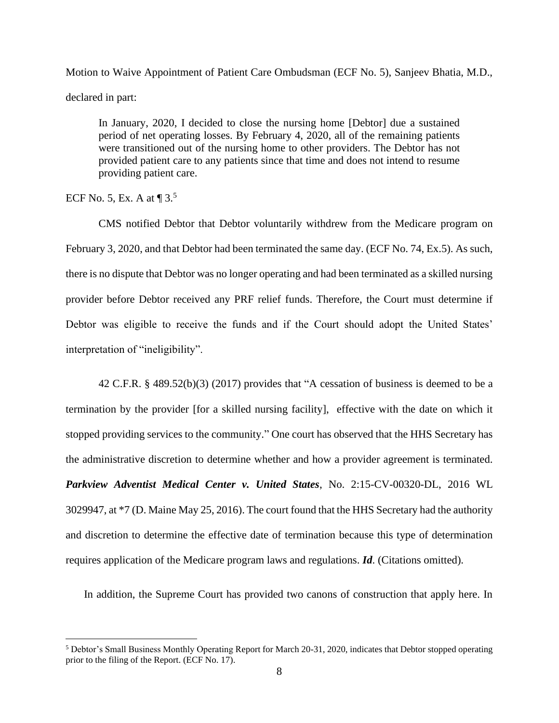Motion to Waive Appointment of Patient Care Ombudsman (ECF No. 5), Sanjeev Bhatia, M.D., declared in part:

In January, 2020, I decided to close the nursing home [Debtor] due a sustained period of net operating losses. By February 4, 2020, all of the remaining patients were transitioned out of the nursing home to other providers. The Debtor has not provided patient care to any patients since that time and does not intend to resume providing patient care.

ECF No. 5, Ex. A at  $\P$  3.<sup>5</sup>

CMS notified Debtor that Debtor voluntarily withdrew from the Medicare program on February 3, 2020, and that Debtor had been terminated the same day. (ECF No. 74, Ex.5). As such, there is no dispute that Debtor was no longer operating and had been terminated as a skilled nursing provider before Debtor received any PRF relief funds. Therefore, the Court must determine if Debtor was eligible to receive the funds and if the Court should adopt the United States' interpretation of "ineligibility".

42 C.F.R. § 489.52(b)(3) (2017) provides that "A cessation of business is deemed to be a termination by the provider [for a skilled nursing facility], effective with the date on which it stopped providing services to the community." One court has observed that the HHS Secretary has the administrative discretion to determine whether and how a provider agreement is terminated. *Parkview Adventist Medical Center v. United States*, No. 2:15-CV-00320-DL, 2016 WL 3029947, at \*7 (D. Maine May 25, 2016). The court found that the HHS Secretary had the authority and discretion to determine the effective date of termination because this type of determination requires application of the Medicare program laws and regulations. *Id*. (Citations omitted).

In addition, the Supreme Court has provided two canons of construction that apply here. In

<sup>5</sup> Debtor's Small Business Monthly Operating Report for March 20-31, 2020, indicates that Debtor stopped operating prior to the filing of the Report. (ECF No. 17).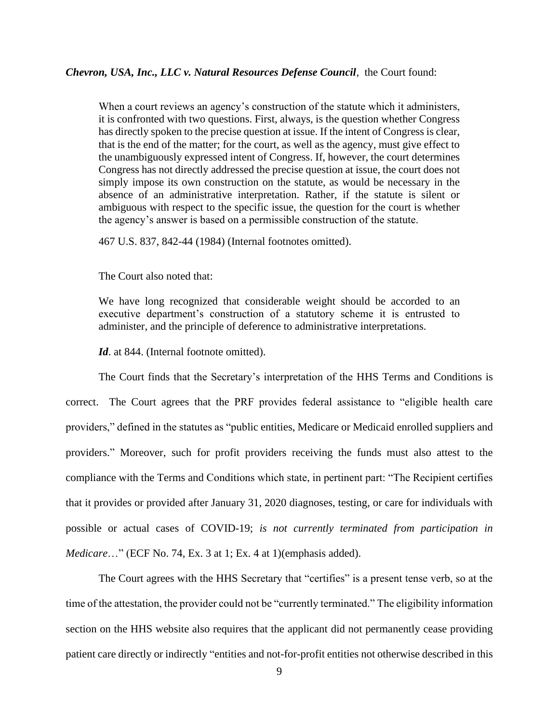## *Chevron, USA, Inc., LLC v. Natural Resources Defense Council*, the Court found:

When a court reviews an agency's construction of the statute which it administers, it is confronted with two questions. First, always, is the question whether Congress has directly spoken to the precise question at issue. If the intent of Congress is clear, that is the end of the matter; for the court, as well as the agency, must give effect to the unambiguously expressed intent of Congress. If, however, the court determines Congress has not directly addressed the precise question at issue, the court does not simply impose its own construction on the statute, as would be necessary in the absence of an administrative interpretation. Rather, if the statute is silent or ambiguous with respect to the specific issue, the question for the court is whether the agency's answer is based on a permissible construction of the statute.

467 U.S. 837, 842-44 (1984) (Internal footnotes omitted).

The Court also noted that:

We have long recognized that considerable weight should be accorded to an executive department's construction of a statutory scheme it is entrusted to administer, and the principle of deference to administrative interpretations.

Id. at 844. (Internal footnote omitted).

The Court finds that the Secretary's interpretation of the HHS Terms and Conditions is correct. The Court agrees that the PRF provides federal assistance to "eligible health care providers," defined in the statutes as "public entities, Medicare or Medicaid enrolled suppliers and providers." Moreover, such for profit providers receiving the funds must also attest to the compliance with the Terms and Conditions which state, in pertinent part: "The Recipient certifies that it provides or provided after January 31, 2020 diagnoses, testing, or care for individuals with possible or actual cases of COVID-19; *is not currently terminated from participation in Medicare*…" (ECF No. 74, Ex. 3 at 1; Ex. 4 at 1)(emphasis added).

The Court agrees with the HHS Secretary that "certifies" is a present tense verb, so at the time of the attestation, the provider could not be "currently terminated." The eligibility information section on the HHS website also requires that the applicant did not permanently cease providing patient care directly or indirectly "entities and not-for-profit entities not otherwise described in this